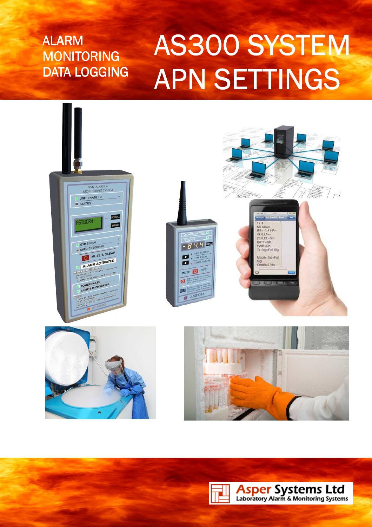# AS300 ALARM SYSTEM ALARM **MONITORING** DATA LOGGING

Doc AS300 APN Iss 1 Iss 1

# AS300 SYSTEM **APN SETTINGS**



**Asper Systems Ltd**<br>Laboratory Alarm & Monitoring Systems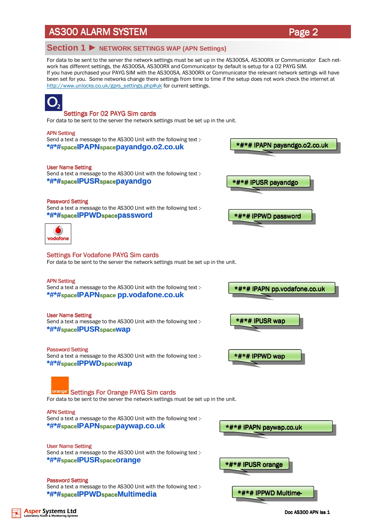### **Section 1** ► **NETWORK SETTINGS WAP (APN Settings)**

For data to be sent to the server the network settings must be set up in the AS300SA, AS300RX or Communicator Each network has different settings, the AS300SA, AS300RX and Communicator by default is setup for a 02 PAYG SIM. If you have purchased your PAYG SIM with the AS300SA, AS300RX or Communicator the relevant network settings will have been set for you. Some networks change there settings from time to time if the setup does not work check the internet at http://www.unlocks.co.uk/gprs\_settings.php#uk for current settings.



Doc AS300 APN Iss 1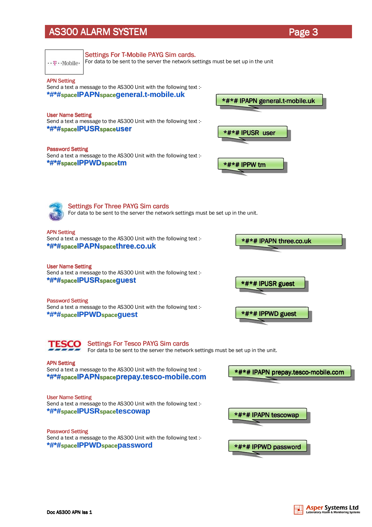| $\cdots$ T $\cdots$ Mobile                                                                                                     | <b>Settings For T-Mobile PAYG Sim cards.</b><br>For data to be sent to the server the network settings must be set up in the unit |                                    |  |
|--------------------------------------------------------------------------------------------------------------------------------|-----------------------------------------------------------------------------------------------------------------------------------|------------------------------------|--|
| <b>APN Setting</b>                                                                                                             | Send a text a message to the AS300 Unit with the following text :-<br>*#*#spaceIPAPNspacegeneral.t-mobile.uk                      | *#*# IPAPN general.t-mobile.uk     |  |
| <b>User Name Setting</b><br>Send a text a message to the AS300 Unit with the following text :-<br>*#*#spaceIPUSRspaceuser      |                                                                                                                                   | *#*#IPUSR user                     |  |
| <b>Password Setting</b>                                                                                                        | Send a text a message to the AS300 Unit with the following text :-<br>*#*#spaceIPPWDspacetm                                       | *#*# IPPW tm                       |  |
| <b>Settings For Three PAYG Sim cards</b><br>For data to be sent to the server the network settings must be set up in the unit. |                                                                                                                                   |                                    |  |
| <b>APN Setting</b>                                                                                                             | Send a text a message to the AS300 Unit with the following text :-<br>*#*#spaceIPAPNspacethree.co.uk                              | *#*# IPAPN three.co.uk             |  |
| <b>User Name Setting</b>                                                                                                       | Send a text a message to the AS300 Unit with the following text :-<br>*#*#spaceIPUSRspaceguest                                    | *#*# IPUSR guest                   |  |
| <b>Password Setting</b>                                                                                                        | Send a text a message to the AS300 Unit with the following text :-<br>*#*#spaceIPPWDspaceguest                                    | *#*# IPPWD guest                   |  |
|                                                                                                                                | <b>Settings For Tesco PAYG Sim cards</b><br>For data to be sent to the server the network settings must be set up in the unit.    |                                    |  |
| <b>APN Setting</b>                                                                                                             | Send a text a message to the AS300 Unit with the following text :-<br>*#*#spaceIPAPNspaceprepay.tesco-mobile.com                  | *#*# IPAPN prepay.tesco-mobile.com |  |
| <b>User Name Setting</b>                                                                                                       | Send a text a message to the AS300 Unit with the following text :-<br>*#*#spaceIPUSRspacetescowap                                 | *#*# IPAPN tescowap                |  |
| <b>Password Setting</b>                                                                                                        | Send a text a message to the AS300 Unit with the following text :-<br>*#*#spaceIPPWDspacepassword                                 | *#*# IPPWD password                |  |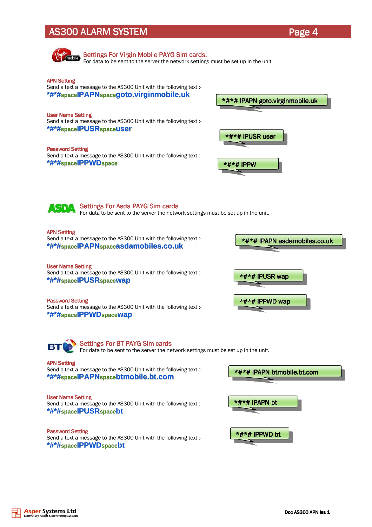

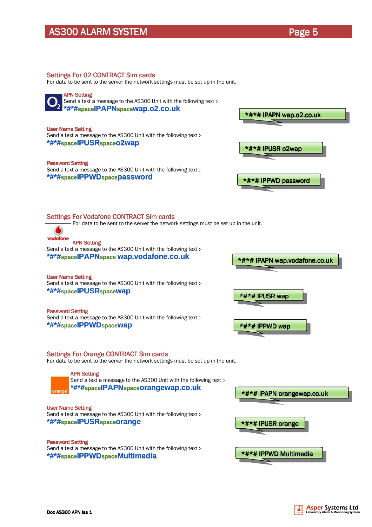Page 5

#### Settings For 02 CONTRACT Sim cards

For data to be sent to the server the network settings must be set up in the unit.



Send a text a message to the AS300 Unit with the following text :-**\*#\*#spaceIPAPNspacewap.o2.co.uk**

#### User Name Setting User Name

Send a text a message to the AS300 Unit with the following text :- **\*#\*#spaceIPUSRspaceo2wap**

#### Password Setting

Send a text a message to the AS300 Unit with the following text :- **\*#\*#spaceIPPWDspacepassword**



#### Settings For Vodafone CONTRACT Sim cards

For data to be sent to the server the network settings must be set up in the unit.



#### **APN Setting**

Send a text a message to the AS300 Unit with the following text :- **\*#\*#spaceIPAPNspace wap.vodafone.co.uk**

**User Name Setting** Send a text a message to the AS300 Unit with the following text :- **\*#\*#spaceIPUSRspacewap**

Password Setting Send a text a message to the AS300 Unit with the following text :- **\*#\*#spaceIPPWDspacewap**



#### Settings For Orange CONTRACT Sim cards

For data to be sent to the server the network settings must be set up in the unit.



Send a text a message to the AS300 Unit with the following text :-**\*#\*#spaceIPAPNspaceorangewap.co.uk**

**User Name Setting** 

Send a text a message to the AS300 Unit with the following text :- **\*#\*#spaceIPUSRspaceorange**

Password Setting Send a text a message to the AS300 Unit with the following text :- **\*#\*#spaceIPPWDspaceMultimedia**

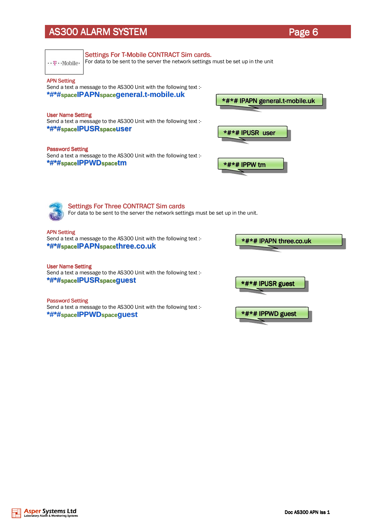Settings For T-Mobile CONTRACT Sim cards.

| $\cdots$ $\mathbb{F}\cdots$ Mobile | For data to be sent to the server the network settings must be set up in the unit                                                  |                                |
|------------------------------------|------------------------------------------------------------------------------------------------------------------------------------|--------------------------------|
| <b>APN Setting</b>                 | Send a text a message to the AS300 Unit with the following text :-<br>*#*#spaceIPAPNspacegeneral.t-mobile.uk                       | *#*# IPAPN general.t-mobile.uk |
| <b>User Name Setting</b>           | Send a text a message to the AS300 Unit with the following text :-<br>*#*#spaceIPUSRspaceuser                                      | *#*# IPUSR user                |
| <b>Password Setting</b>            | Send a text a message to the AS300 Unit with the following text :-<br>*#*#spaceIPPWDspacetm                                        | *#*# IPPW tm                   |
|                                    | <b>Settings For Three CONTRACT Sim cards</b><br>For data to be sent to the server the network settings must be set up in the unit. |                                |
| <b>APN Setting</b>                 | Send a text a message to the AS300 Unit with the following text :-<br>*#*#spaceIPAPNspacethree.co.uk                               | *#*# IPAPN three.co.uk         |
| <b>User Name Setting</b>           | Send a text a message to the AS300 Unit with the following text :-<br>*#*#spaceIPUSRspaceguest                                     | *#*# IPUSR guest               |
| <b>Password Setting</b>            | Send a text a message to the AS300 Unit with the following text :-<br>*#*#spaceIPPWDspaceguest                                     | *#*# IPPWD guest               |
|                                    |                                                                                                                                    |                                |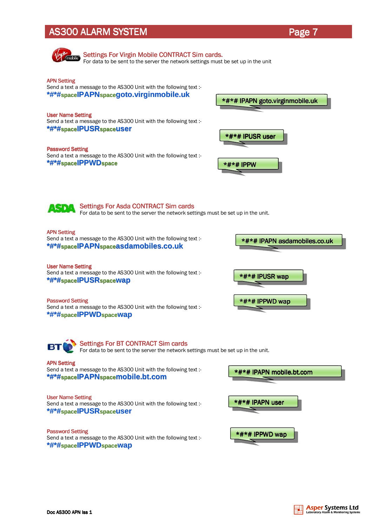